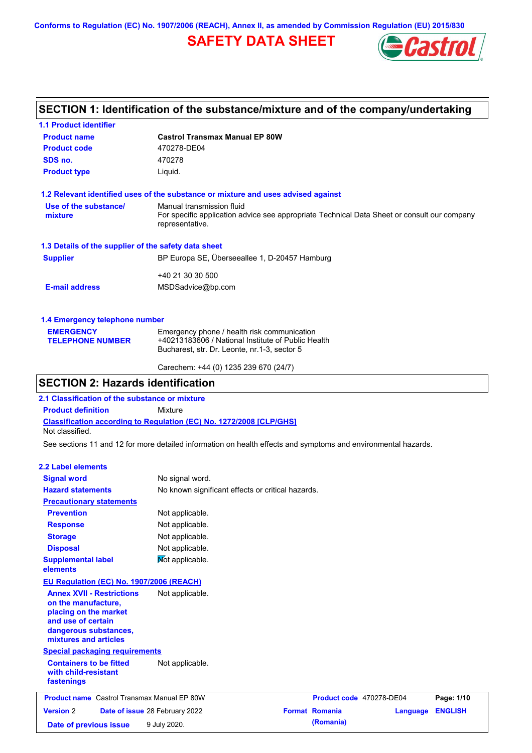**Conforms to Regulation (EC) No. 1907/2006 (REACH), Annex II, as amended by Commission Regulation (EU) 2015/830**

## **SAFETY DATA SHEET**



## **SECTION 1: Identification of the substance/mixture and of the company/undertaking**

| <b>1.1 Product identifier</b>                        |                                                                                                                |
|------------------------------------------------------|----------------------------------------------------------------------------------------------------------------|
| <b>Product name</b>                                  | <b>Castrol Transmax Manual EP 80W</b>                                                                          |
| <b>Product code</b>                                  | 470278-DE04                                                                                                    |
| SDS no.                                              | 470278                                                                                                         |
| <b>Product type</b>                                  | Liquid.                                                                                                        |
|                                                      | 1.2 Relevant identified uses of the substance or mixture and uses advised against                              |
| Use of the substance/                                | Manual transmission fluid                                                                                      |
| mixture                                              | For specific application advice see appropriate Technical Data Sheet or consult our company<br>representative. |
| 1.3 Details of the supplier of the safety data sheet |                                                                                                                |
| <b>Supplier</b>                                      | BP Europa SE, Überseeallee 1, D-20457 Hamburg                                                                  |
|                                                      | +40 21 30 30 500                                                                                               |
| <b>E-mail address</b>                                | MSDSadvice@bp.com                                                                                              |
| 1.4 Emergency telephone number                       |                                                                                                                |
| <b>EMERGENCY</b>                                     | Emergency phone / health risk communication                                                                    |
| <b>TELEPHONE NUMBER</b>                              | +40213183606 / National Institute of Public Health                                                             |
|                                                      | Bucharest, str. Dr. Leonte, nr.1-3, sector 5                                                                   |

### **SECTION 2: Hazards identification**

**2.1 Classification of the substance or mixture**

**Product definition** Mixture

**Classification according to Regulation (EC) No. 1272/2008 [CLP/GHS]** Not classified.

See sections 11 and 12 for more detailed information on health effects and symptoms and environmental hazards.

Carechem: +44 (0) 1235 239 670 (24/7)

#### **2.2 Label elements**

| <b>Signal word</b>                                                                                                                                       | No signal word.                                   |                          |          |                |
|----------------------------------------------------------------------------------------------------------------------------------------------------------|---------------------------------------------------|--------------------------|----------|----------------|
| <b>Hazard statements</b>                                                                                                                                 | No known significant effects or critical hazards. |                          |          |                |
| <b>Precautionary statements</b>                                                                                                                          |                                                   |                          |          |                |
| <b>Prevention</b>                                                                                                                                        | Not applicable.                                   |                          |          |                |
| <b>Response</b>                                                                                                                                          | Not applicable.                                   |                          |          |                |
| <b>Storage</b>                                                                                                                                           | Not applicable.                                   |                          |          |                |
| <b>Disposal</b>                                                                                                                                          | Not applicable.                                   |                          |          |                |
| <b>Supplemental label</b><br>elements                                                                                                                    | Not applicable.                                   |                          |          |                |
| EU Regulation (EC) No. 1907/2006 (REACH)                                                                                                                 |                                                   |                          |          |                |
| <b>Annex XVII - Restrictions</b><br>on the manufacture,<br>placing on the market<br>and use of certain<br>dangerous substances,<br>mixtures and articles | Not applicable.                                   |                          |          |                |
| <b>Special packaging requirements</b>                                                                                                                    |                                                   |                          |          |                |
| <b>Containers to be fitted</b><br>with child-resistant<br>fastenings                                                                                     | Not applicable.                                   |                          |          |                |
| <b>Product name</b> Castrol Transmax Manual EP 80W                                                                                                       |                                                   | Product code 470278-DE04 |          | Page: 1/10     |
| <b>Version 2</b><br>Date of issue 28 February 2022                                                                                                       |                                                   | <b>Format Romania</b>    | Language | <b>ENGLISH</b> |
| Date of previous issue                                                                                                                                   | 9 July 2020.                                      | (Romania)                |          |                |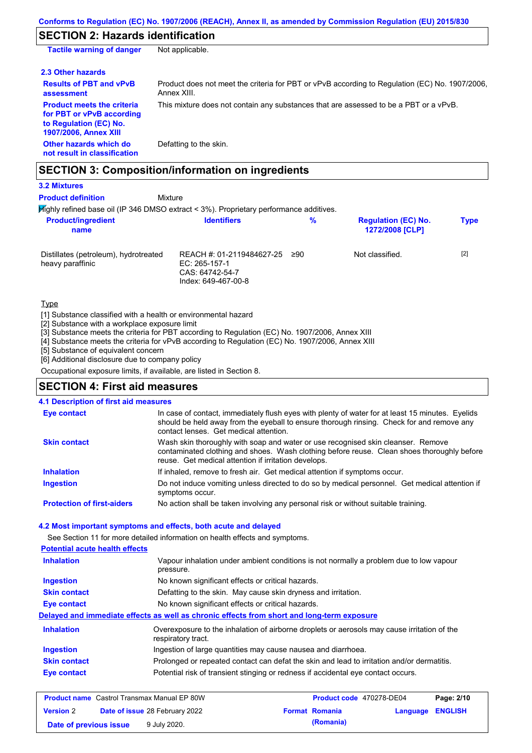## **SECTION 2: Hazards identification**

| Not applicable.                                                                                               |
|---------------------------------------------------------------------------------------------------------------|
|                                                                                                               |
| Product does not meet the criteria for PBT or vPvB according to Regulation (EC) No. 1907/2006,<br>Annex XIII. |
| This mixture does not contain any substances that are assessed to be a PBT or a vPvB.                         |
| Defatting to the skin.                                                                                        |
|                                                                                                               |

#### Highly refined base oil (IP 346 DMSO extract < 3%). Proprietary performance additives. Mixture **Product definition**

Distillates (petroleum), hydrotreated heavy paraffinic REACH #: 01-2119484627-25 EC: 265-157-1 CAS: 64742-54-7 Index: 649-467-00-8 Not classified. [2] **Product/ingredient name % Regulation (EC) No. Identifiers Type 1272/2008 [CLP]**

Type

**3.2 Mixtures**

[1] Substance classified with a health or environmental hazard

[2] Substance with a workplace exposure limit

[3] Substance meets the criteria for PBT according to Regulation (EC) No. 1907/2006, Annex XIII

[4] Substance meets the criteria for vPvB according to Regulation (EC) No. 1907/2006, Annex XIII

[5] Substance of equivalent concern

[6] Additional disclosure due to company policy

Occupational exposure limits, if available, are listed in Section 8.

#### **SECTION 4: First aid measures**

#### **4.1 Description of first aid measures**

| <b>Eye contact</b>                | In case of contact, immediately flush eyes with plenty of water for at least 15 minutes. Eyelids<br>should be held away from the eyeball to ensure thorough rinsing. Check for and remove any<br>contact lenses. Get medical attention. |
|-----------------------------------|-----------------------------------------------------------------------------------------------------------------------------------------------------------------------------------------------------------------------------------------|
| <b>Skin contact</b>               | Wash skin thoroughly with soap and water or use recognised skin cleanser. Remove<br>contaminated clothing and shoes. Wash clothing before reuse. Clean shoes thoroughly before<br>reuse. Get medical attention if irritation develops.  |
| <b>Inhalation</b>                 | If inhaled, remove to fresh air. Get medical attention if symptoms occur.                                                                                                                                                               |
| <b>Ingestion</b>                  | Do not induce vomiting unless directed to do so by medical personnel. Get medical attention if<br>symptoms occur.                                                                                                                       |
| <b>Protection of first-aiders</b> | No action shall be taken involving any personal risk or without suitable training.                                                                                                                                                      |

#### **4.2 Most important symptoms and effects, both acute and delayed**

See Section 11 for more detailed information on health effects and symptoms.

| <b>Potential acute health effects</b> |                                                                                                                   |
|---------------------------------------|-------------------------------------------------------------------------------------------------------------------|
| <b>Inhalation</b>                     | Vapour inhalation under ambient conditions is not normally a problem due to low vapour<br>pressure.               |
| <b>Ingestion</b>                      | No known significant effects or critical hazards.                                                                 |
| <b>Skin contact</b>                   | Defatting to the skin. May cause skin dryness and irritation.                                                     |
| Eye contact                           | No known significant effects or critical hazards.                                                                 |
|                                       | Delayed and immediate effects as well as chronic effects from short and long-term exposure                        |
| <b>Inhalation</b>                     | Overexposure to the inhalation of airborne droplets or aerosols may cause irritation of the<br>respiratory tract. |
| <b>Ingestion</b>                      | Ingestion of large quantities may cause nausea and diarrhoea.                                                     |
| <b>Skin contact</b>                   | Prolonged or repeated contact can defat the skin and lead to irritation and/or dermatitis.                        |
| Eye contact                           | Potential risk of transient stinging or redness if accidental eye contact occurs.                                 |
|                                       |                                                                                                                   |

| <b>Product name</b> Castrol Transmax Manual EP 80W |  | Product code 470278-DE04              |  | Page: 2/10            |                         |  |
|----------------------------------------------------|--|---------------------------------------|--|-----------------------|-------------------------|--|
| <b>Version 2</b>                                   |  | <b>Date of issue 28 February 2022</b> |  | <b>Format Romania</b> | <b>Language ENGLISH</b> |  |
| Date of previous issue                             |  | 9 July 2020.                          |  | (Romania)             |                         |  |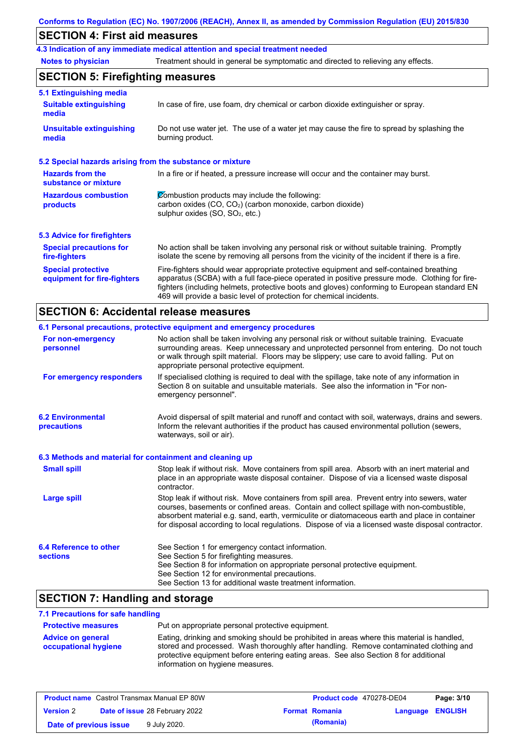#### **Conforms to Regulation (EC) No. 1907/2006 (REACH), Annex II, as amended by Commission Regulation (EU) 2015/830**

## **SECTION 4: First aid measures**

**4.3 Indication of any immediate medical attention and special treatment needed**

**Notes to physician** Treatment should in general be symptomatic and directed to relieving any effects.

### **SECTION 5: Firefighting measures**

| 5.1 Extinguishing media                                   |                                                                                                                                                                                                                                                                                                                                                                   |
|-----------------------------------------------------------|-------------------------------------------------------------------------------------------------------------------------------------------------------------------------------------------------------------------------------------------------------------------------------------------------------------------------------------------------------------------|
| <b>Suitable extinguishing</b><br>media                    | In case of fire, use foam, dry chemical or carbon dioxide extinguisher or spray.                                                                                                                                                                                                                                                                                  |
| <b>Unsuitable extinguishing</b><br>media                  | Do not use water jet. The use of a water jet may cause the fire to spread by splashing the<br>burning product.                                                                                                                                                                                                                                                    |
| 5.2 Special hazards arising from the substance or mixture |                                                                                                                                                                                                                                                                                                                                                                   |
| <b>Hazards from the</b><br>substance or mixture           | In a fire or if heated, a pressure increase will occur and the container may burst.                                                                                                                                                                                                                                                                               |
| <b>Hazardous combustion</b><br>products                   | Combustion products may include the following:<br>carbon oxides $(CO, CO2)$ (carbon monoxide, carbon dioxide)<br>sulphur oxides $(SO, SO2, etc.)$                                                                                                                                                                                                                 |
| <b>5.3 Advice for firefighters</b>                        |                                                                                                                                                                                                                                                                                                                                                                   |
| <b>Special precautions for</b><br>fire-fighters           | No action shall be taken involving any personal risk or without suitable training. Promptly<br>isolate the scene by removing all persons from the vicinity of the incident if there is a fire.                                                                                                                                                                    |
| <b>Special protective</b><br>equipment for fire-fighters  | Fire-fighters should wear appropriate protective equipment and self-contained breathing<br>apparatus (SCBA) with a full face-piece operated in positive pressure mode. Clothing for fire-<br>fighters (including helmets, protective boots and gloves) conforming to European standard EN<br>469 will provide a basic level of protection for chemical incidents. |

#### **SECTION 6: Accidental release measures**

|                                                          | 6.1 Personal precautions, protective equipment and emergency procedures                                                                                                                                                                                                                                                                                                                        |
|----------------------------------------------------------|------------------------------------------------------------------------------------------------------------------------------------------------------------------------------------------------------------------------------------------------------------------------------------------------------------------------------------------------------------------------------------------------|
| For non-emergency<br>personnel                           | No action shall be taken involving any personal risk or without suitable training. Evacuate<br>surrounding areas. Keep unnecessary and unprotected personnel from entering. Do not touch<br>or walk through spilt material. Floors may be slippery; use care to avoid falling. Put on<br>appropriate personal protective equipment.                                                            |
| For emergency responders                                 | If specialised clothing is required to deal with the spillage, take note of any information in<br>Section 8 on suitable and unsuitable materials. See also the information in "For non-<br>emergency personnel".                                                                                                                                                                               |
| <b>6.2 Environmental</b><br>precautions                  | Avoid dispersal of spilt material and runoff and contact with soil, waterways, drains and sewers.<br>Inform the relevant authorities if the product has caused environmental pollution (sewers,<br>waterways, soil or air).                                                                                                                                                                    |
| 6.3 Methods and material for containment and cleaning up |                                                                                                                                                                                                                                                                                                                                                                                                |
| <b>Small spill</b>                                       | Stop leak if without risk. Move containers from spill area. Absorb with an inert material and<br>place in an appropriate waste disposal container. Dispose of via a licensed waste disposal<br>contractor.                                                                                                                                                                                     |
| <b>Large spill</b>                                       | Stop leak if without risk. Move containers from spill area. Prevent entry into sewers, water<br>courses, basements or confined areas. Contain and collect spillage with non-combustible,<br>absorbent material e.g. sand, earth, vermiculite or diatomaceous earth and place in container<br>for disposal according to local regulations. Dispose of via a licensed waste disposal contractor. |
| <b>6.4 Reference to other</b><br><b>sections</b>         | See Section 1 for emergency contact information.<br>See Section 5 for firefighting measures.<br>See Section 8 for information on appropriate personal protective equipment.<br>See Section 12 for environmental precautions.<br>See Section 13 for additional waste treatment information.                                                                                                     |
|                                                          |                                                                                                                                                                                                                                                                                                                                                                                                |

#### **SECTION 7: Handling and storage**

#### **7.1 Precautions for safe handling**

**Protective measures Advice on general occupational hygiene** Put on appropriate personal protective equipment. Eating, drinking and smoking should be prohibited in areas where this material is handled, stored and processed. Wash thoroughly after handling. Remove contaminated clothing and protective equipment before entering eating areas. See also Section 8 for additional information on hygiene measures.

| <b>Product name</b> Castrol Transmax Manual EP 80W |                                       | <b>Product code</b> 470278-DE04 |  | Page: 3/10            |                  |  |
|----------------------------------------------------|---------------------------------------|---------------------------------|--|-----------------------|------------------|--|
| <b>Version 2</b>                                   | <b>Date of issue 28 February 2022</b> |                                 |  | <b>Format Romania</b> | Language ENGLISH |  |
| Date of previous issue                             |                                       | 9 July 2020.                    |  | (Romania)             |                  |  |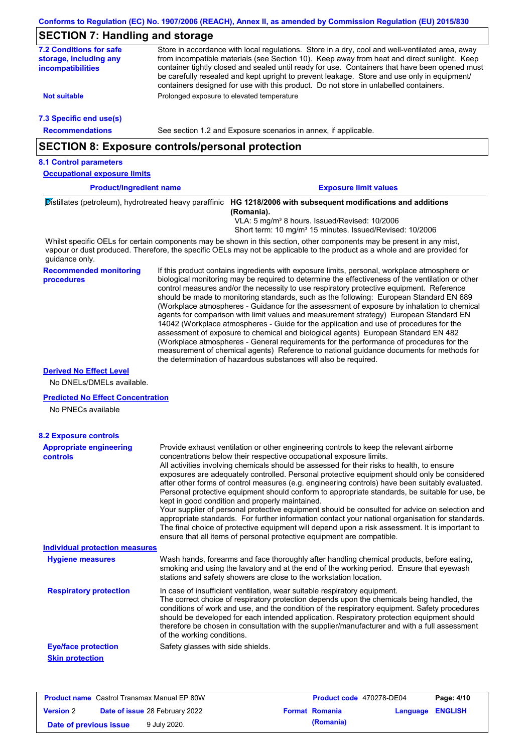# **SECTION 7: Handling and storage**

| <b>7.2 Conditions for safe</b><br>storage, including any       | Store in accordance with local regulations. Store in a dry, cool and well-ventilated area, away<br>from incompatible materials (see Section 10). Keep away from heat and direct sunlight. Keep                                                                                                                                                                                                                                                                                                                                                                                                                                                                                                                                                                                                                                                                                                                                                                                                                             |
|----------------------------------------------------------------|----------------------------------------------------------------------------------------------------------------------------------------------------------------------------------------------------------------------------------------------------------------------------------------------------------------------------------------------------------------------------------------------------------------------------------------------------------------------------------------------------------------------------------------------------------------------------------------------------------------------------------------------------------------------------------------------------------------------------------------------------------------------------------------------------------------------------------------------------------------------------------------------------------------------------------------------------------------------------------------------------------------------------|
| incompatibilities                                              | container tightly closed and sealed until ready for use. Containers that have been opened must<br>be carefully resealed and kept upright to prevent leakage. Store and use only in equipment/<br>containers designed for use with this product. Do not store in unlabelled containers.                                                                                                                                                                                                                                                                                                                                                                                                                                                                                                                                                                                                                                                                                                                                     |
| <b>Not suitable</b>                                            | Prolonged exposure to elevated temperature                                                                                                                                                                                                                                                                                                                                                                                                                                                                                                                                                                                                                                                                                                                                                                                                                                                                                                                                                                                 |
| 7.3 Specific end use(s)                                        |                                                                                                                                                                                                                                                                                                                                                                                                                                                                                                                                                                                                                                                                                                                                                                                                                                                                                                                                                                                                                            |
| <b>Recommendations</b>                                         | See section 1.2 and Exposure scenarios in annex, if applicable.                                                                                                                                                                                                                                                                                                                                                                                                                                                                                                                                                                                                                                                                                                                                                                                                                                                                                                                                                            |
|                                                                | <b>SECTION 8: Exposure controls/personal protection</b>                                                                                                                                                                                                                                                                                                                                                                                                                                                                                                                                                                                                                                                                                                                                                                                                                                                                                                                                                                    |
| <b>8.1 Control parameters</b>                                  |                                                                                                                                                                                                                                                                                                                                                                                                                                                                                                                                                                                                                                                                                                                                                                                                                                                                                                                                                                                                                            |
| <b>Occupational exposure limits</b>                            |                                                                                                                                                                                                                                                                                                                                                                                                                                                                                                                                                                                                                                                                                                                                                                                                                                                                                                                                                                                                                            |
| <b>Product/ingredient name</b>                                 | <b>Exposure limit values</b>                                                                                                                                                                                                                                                                                                                                                                                                                                                                                                                                                                                                                                                                                                                                                                                                                                                                                                                                                                                               |
|                                                                | Distillates (petroleum), hydrotreated heavy paraffinic HG 1218/2006 with subsequent modifications and additions                                                                                                                                                                                                                                                                                                                                                                                                                                                                                                                                                                                                                                                                                                                                                                                                                                                                                                            |
|                                                                | (Romania).<br>VLA: 5 mg/m <sup>3</sup> 8 hours. Issued/Revised: 10/2006<br>Short term: 10 mg/m <sup>3</sup> 15 minutes. Issued/Revised: 10/2006                                                                                                                                                                                                                                                                                                                                                                                                                                                                                                                                                                                                                                                                                                                                                                                                                                                                            |
| guidance only.                                                 | Whilst specific OELs for certain components may be shown in this section, other components may be present in any mist,<br>vapour or dust produced. Therefore, the specific OELs may not be applicable to the product as a whole and are provided for                                                                                                                                                                                                                                                                                                                                                                                                                                                                                                                                                                                                                                                                                                                                                                       |
| <b>Recommended monitoring</b><br>procedures                    | If this product contains ingredients with exposure limits, personal, workplace atmosphere or<br>biological monitoring may be required to determine the effectiveness of the ventilation or other<br>control measures and/or the necessity to use respiratory protective equipment. Reference<br>should be made to monitoring standards, such as the following: European Standard EN 689<br>(Workplace atmospheres - Guidance for the assessment of exposure by inhalation to chemical<br>agents for comparison with limit values and measurement strategy) European Standard EN<br>14042 (Workplace atmospheres - Guide for the application and use of procedures for the<br>assessment of exposure to chemical and biological agents) European Standard EN 482<br>(Workplace atmospheres - General requirements for the performance of procedures for the<br>measurement of chemical agents) Reference to national guidance documents for methods for<br>the determination of hazardous substances will also be required. |
| <b>Derived No Effect Level</b><br>No DNELs/DMELs available.    |                                                                                                                                                                                                                                                                                                                                                                                                                                                                                                                                                                                                                                                                                                                                                                                                                                                                                                                                                                                                                            |
| <b>Predicted No Effect Concentration</b><br>No PNECs available |                                                                                                                                                                                                                                                                                                                                                                                                                                                                                                                                                                                                                                                                                                                                                                                                                                                                                                                                                                                                                            |
| <b>8.2 Exposure controls</b>                                   |                                                                                                                                                                                                                                                                                                                                                                                                                                                                                                                                                                                                                                                                                                                                                                                                                                                                                                                                                                                                                            |
| <b>Appropriate engineering</b><br><b>controls</b>              | Provide exhaust ventilation or other engineering controls to keep the relevant airborne<br>concentrations below their respective occupational exposure limits.<br>All activities involving chemicals should be assessed for their risks to health, to ensure<br>exposures are adequately controlled. Personal protective equipment should only be considered<br>after other forms of control measures (e.g. engineering controls) have been suitably evaluated.<br>Personal protective equipment should conform to appropriate standards, be suitable for use, be<br>kept in good condition and properly maintained.<br>Your supplier of personal protective equipment should be consulted for advice on selection and<br>appropriate standards. For further information contact your national organisation for standards.<br>The final choice of protective equipment will depend upon a risk assessment. It is important to<br>ensure that all items of personal protective equipment are compatible.                    |
| <b>Individual protection measures</b>                          |                                                                                                                                                                                                                                                                                                                                                                                                                                                                                                                                                                                                                                                                                                                                                                                                                                                                                                                                                                                                                            |
| <b>Hygiene measures</b>                                        | Wash hands, forearms and face thoroughly after handling chemical products, before eating,<br>smoking and using the lavatory and at the end of the working period. Ensure that eyewash<br>stations and safety showers are close to the workstation location.                                                                                                                                                                                                                                                                                                                                                                                                                                                                                                                                                                                                                                                                                                                                                                |
| <b>Respiratory protection</b>                                  | In case of insufficient ventilation, wear suitable respiratory equipment.<br>The correct choice of respiratory protection depends upon the chemicals being handled, the<br>conditions of work and use, and the condition of the respiratory equipment. Safety procedures<br>should be developed for each intended application. Respiratory protection equipment should<br>therefore be chosen in consultation with the supplier/manufacturer and with a full assessment<br>of the working conditions.                                                                                                                                                                                                                                                                                                                                                                                                                                                                                                                      |
| <b>Eye/face protection</b><br><b>Skin protection</b>           | Safety glasses with side shields.                                                                                                                                                                                                                                                                                                                                                                                                                                                                                                                                                                                                                                                                                                                                                                                                                                                                                                                                                                                          |

| <b>Product name</b> Castrol Transmax Manual EP 80W |  |                                       | Product code 470278-DE04 | Page: 4/10       |  |
|----------------------------------------------------|--|---------------------------------------|--------------------------|------------------|--|
| <b>Version 2</b>                                   |  | <b>Date of issue 28 February 2022</b> | <b>Format Romania</b>    | Language ENGLISH |  |
| Date of previous issue                             |  | 9 July 2020.                          | (Romania)                |                  |  |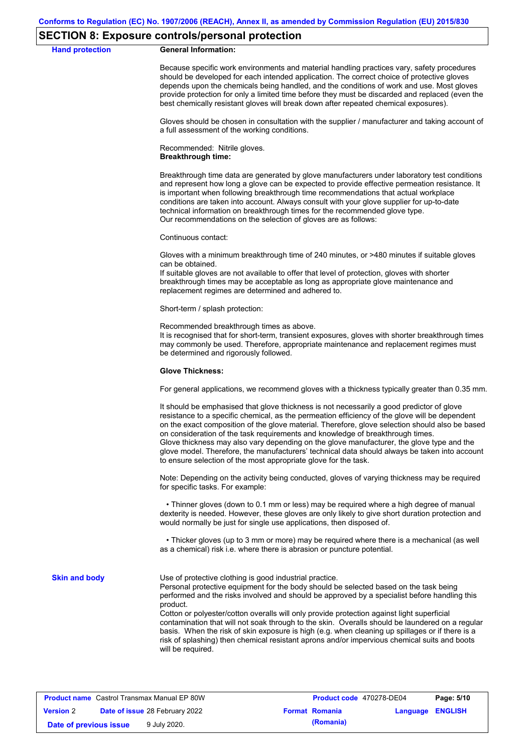#### **SECTION 8: Exposure controls/personal protection**

#### **Hand protection General Information:**

Because specific work environments and material handling practices vary, safety procedures should be developed for each intended application. The correct choice of protective gloves depends upon the chemicals being handled, and the conditions of work and use. Most gloves provide protection for only a limited time before they must be discarded and replaced (even the best chemically resistant gloves will break down after repeated chemical exposures).

Gloves should be chosen in consultation with the supplier / manufacturer and taking account of a full assessment of the working conditions.

Recommended: Nitrile gloves. **Breakthrough time:**

Breakthrough time data are generated by glove manufacturers under laboratory test conditions and represent how long a glove can be expected to provide effective permeation resistance. It is important when following breakthrough time recommendations that actual workplace conditions are taken into account. Always consult with your glove supplier for up-to-date technical information on breakthrough times for the recommended glove type. Our recommendations on the selection of gloves are as follows:

Continuous contact:

Gloves with a minimum breakthrough time of 240 minutes, or >480 minutes if suitable gloves can be obtained.

If suitable gloves are not available to offer that level of protection, gloves with shorter breakthrough times may be acceptable as long as appropriate glove maintenance and replacement regimes are determined and adhered to.

Short-term / splash protection:

Recommended breakthrough times as above.

It is recognised that for short-term, transient exposures, gloves with shorter breakthrough times may commonly be used. Therefore, appropriate maintenance and replacement regimes must be determined and rigorously followed.

#### **Glove Thickness:**

For general applications, we recommend gloves with a thickness typically greater than 0.35 mm.

It should be emphasised that glove thickness is not necessarily a good predictor of glove resistance to a specific chemical, as the permeation efficiency of the glove will be dependent on the exact composition of the glove material. Therefore, glove selection should also be based on consideration of the task requirements and knowledge of breakthrough times. Glove thickness may also vary depending on the glove manufacturer, the glove type and the glove model. Therefore, the manufacturers' technical data should always be taken into account to ensure selection of the most appropriate glove for the task.

Note: Depending on the activity being conducted, gloves of varying thickness may be required for specific tasks. For example:

 • Thinner gloves (down to 0.1 mm or less) may be required where a high degree of manual dexterity is needed. However, these gloves are only likely to give short duration protection and would normally be just for single use applications, then disposed of.

 • Thicker gloves (up to 3 mm or more) may be required where there is a mechanical (as well as a chemical) risk i.e. where there is abrasion or puncture potential.

**Skin and body**

Use of protective clothing is good industrial practice.

Personal protective equipment for the body should be selected based on the task being performed and the risks involved and should be approved by a specialist before handling this product.

Cotton or polyester/cotton overalls will only provide protection against light superficial contamination that will not soak through to the skin. Overalls should be laundered on a regular basis. When the risk of skin exposure is high (e.g. when cleaning up spillages or if there is a risk of splashing) then chemical resistant aprons and/or impervious chemical suits and boots will be required.

| <b>Product name</b> Castrol Transmax Manual EP 80W |  |                                       | Product code 470278-DE04 | Page: 5/10            |                         |  |
|----------------------------------------------------|--|---------------------------------------|--------------------------|-----------------------|-------------------------|--|
| <b>Version 2</b>                                   |  | <b>Date of issue 28 February 2022</b> |                          | <b>Format Romania</b> | <b>Language ENGLISH</b> |  |
| Date of previous issue                             |  | 9 July 2020.                          |                          | (Romania)             |                         |  |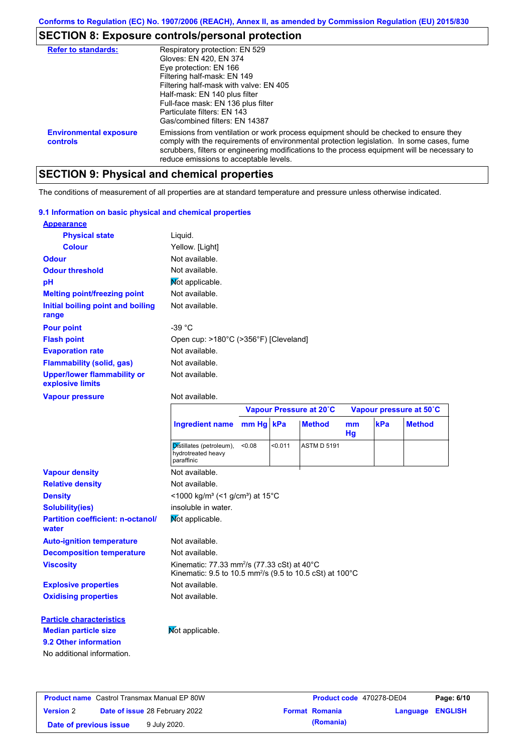## **SECTION 8: Exposure controls/personal protection**

| <b>Refer to standards:</b>                | Respiratory protection: EN 529                                                                                                                                                                                                                                                                                                |
|-------------------------------------------|-------------------------------------------------------------------------------------------------------------------------------------------------------------------------------------------------------------------------------------------------------------------------------------------------------------------------------|
|                                           | Gloves: EN 420, EN 374                                                                                                                                                                                                                                                                                                        |
|                                           | Eye protection: EN 166                                                                                                                                                                                                                                                                                                        |
|                                           | Filtering half-mask: EN 149                                                                                                                                                                                                                                                                                                   |
|                                           | Filtering half-mask with valve: EN 405                                                                                                                                                                                                                                                                                        |
|                                           | Half-mask: EN 140 plus filter                                                                                                                                                                                                                                                                                                 |
|                                           | Full-face mask: EN 136 plus filter                                                                                                                                                                                                                                                                                            |
|                                           | Particulate filters: FN 143                                                                                                                                                                                                                                                                                                   |
|                                           | Gas/combined filters: EN 14387                                                                                                                                                                                                                                                                                                |
| <b>Environmental exposure</b><br>controls | Emissions from ventilation or work process equipment should be checked to ensure they<br>comply with the requirements of environmental protection legislation. In some cases, fume<br>scrubbers, filters or engineering modifications to the process equipment will be necessary to<br>reduce emissions to acceptable levels. |

# **SECTION 9: Physical and chemical properties**

The conditions of measurement of all properties are at standard temperature and pressure unless otherwise indicated.

#### **9.1 Information on basic physical and chemical properties**

| <b>Appearance</b>                                      |                                       |
|--------------------------------------------------------|---------------------------------------|
| <b>Physical state</b>                                  | Liquid.                               |
| <b>Colour</b>                                          | Yellow. [Light]                       |
| <b>Odour</b>                                           | Not available.                        |
| <b>Odour threshold</b>                                 | Not available.                        |
| рH                                                     | Mot applicable.                       |
| <b>Melting point/freezing point</b>                    | Not available.                        |
| Initial boiling point and boiling<br>range             | Not available.                        |
| <b>Pour point</b>                                      | -39 $^{\circ}$ C                      |
| <b>Flash point</b>                                     | Open cup: >180°C (>356°F) [Cleveland] |
| <b>Evaporation rate</b>                                | Not available.                        |
| <b>Flammability (solid, gas)</b>                       | Not available.                        |
| <b>Upper/lower flammability or</b><br>explosive limits | Not available.                        |

#### **Vapour pressure**

#### Not available.

| mm Hg kPa<br>kPa<br><b>Ingredient name</b><br><b>Method</b><br>m <sub>m</sub><br>Hg                                                                            | <b>Method</b> |  |  |  |  |  |
|----------------------------------------------------------------------------------------------------------------------------------------------------------------|---------------|--|--|--|--|--|
|                                                                                                                                                                |               |  |  |  |  |  |
| Distillates (petroleum),<br>< 0.011<br>< 0.08<br><b>ASTM D 5191</b><br>hydrotreated heavy<br>paraffinic                                                        |               |  |  |  |  |  |
| <b>Vapour density</b><br>Not available.                                                                                                                        |               |  |  |  |  |  |
| Not available.<br><b>Relative density</b>                                                                                                                      |               |  |  |  |  |  |
| <1000 kg/m <sup>3</sup> (<1 g/cm <sup>3</sup> ) at 15 <sup>°</sup> C<br><b>Density</b>                                                                         |               |  |  |  |  |  |
| insoluble in water.<br><b>Solubility(ies)</b>                                                                                                                  |               |  |  |  |  |  |
| Mot applicable.<br><b>Partition coefficient: n-octanol/</b><br>water                                                                                           |               |  |  |  |  |  |
| Not available.<br><b>Auto-ignition temperature</b>                                                                                                             |               |  |  |  |  |  |
| <b>Decomposition temperature</b><br>Not available.                                                                                                             |               |  |  |  |  |  |
| Kinematic: 77.33 mm <sup>2</sup> /s (77.33 cSt) at $40^{\circ}$ C<br><b>Viscosity</b><br>Kinematic: 9.5 to 10.5 mm <sup>2</sup> /s (9.5 to 10.5 cSt) at 100 °C |               |  |  |  |  |  |
| Not available.<br><b>Explosive properties</b>                                                                                                                  |               |  |  |  |  |  |
| Not available.<br><b>Oxidising properties</b>                                                                                                                  |               |  |  |  |  |  |
| <b>Particle characteristics</b>                                                                                                                                |               |  |  |  |  |  |
| Not applicable.<br><b>Median particle size</b>                                                                                                                 |               |  |  |  |  |  |
| 9.2 Other information                                                                                                                                          |               |  |  |  |  |  |
| No additional information.                                                                                                                                     |               |  |  |  |  |  |

| <b>Product name</b> Castrol Transmax Manual EP 80W |  | Product code 470278-DE04              |  | Page: 6/10            |                         |  |
|----------------------------------------------------|--|---------------------------------------|--|-----------------------|-------------------------|--|
| <b>Version 2</b>                                   |  | <b>Date of issue 28 February 2022</b> |  | <b>Format Romania</b> | <b>Language ENGLISH</b> |  |
| Date of previous issue                             |  | 9 July 2020.                          |  | (Romania)             |                         |  |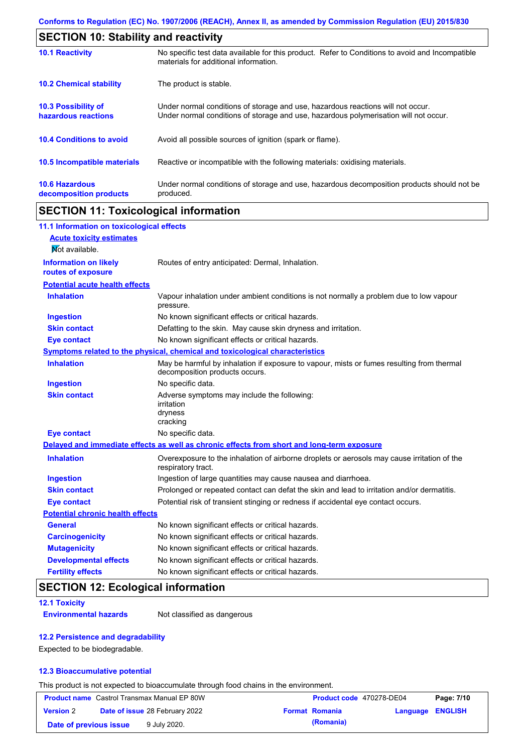| <b>SECTION 10: Stability and reactivity</b>       |                                                                                                                                                                         |  |  |  |
|---------------------------------------------------|-------------------------------------------------------------------------------------------------------------------------------------------------------------------------|--|--|--|
| <b>10.1 Reactivity</b>                            | No specific test data available for this product. Refer to Conditions to avoid and Incompatible<br>materials for additional information.                                |  |  |  |
| <b>10.2 Chemical stability</b>                    | The product is stable.                                                                                                                                                  |  |  |  |
| <b>10.3 Possibility of</b><br>hazardous reactions | Under normal conditions of storage and use, hazardous reactions will not occur.<br>Under normal conditions of storage and use, hazardous polymerisation will not occur. |  |  |  |
| <b>10.4 Conditions to avoid</b>                   | Avoid all possible sources of ignition (spark or flame).                                                                                                                |  |  |  |
| <b>10.5 Incompatible materials</b>                | Reactive or incompatible with the following materials: oxidising materials.                                                                                             |  |  |  |
| <b>10.6 Hazardous</b><br>decomposition products   | Under normal conditions of storage and use, hazardous decomposition products should not be<br>produced.                                                                 |  |  |  |

## **SECTION 11: Toxicological information**

| 11.1 Information on toxicological effects          |                                                                                                                             |
|----------------------------------------------------|-----------------------------------------------------------------------------------------------------------------------------|
| <b>Acute toxicity estimates</b>                    |                                                                                                                             |
| Not available.                                     |                                                                                                                             |
| <b>Information on likely</b><br>routes of exposure | Routes of entry anticipated: Dermal, Inhalation.                                                                            |
| <b>Potential acute health effects</b>              |                                                                                                                             |
| <b>Inhalation</b>                                  | Vapour inhalation under ambient conditions is not normally a problem due to low vapour<br>pressure.                         |
| <b>Ingestion</b>                                   | No known significant effects or critical hazards.                                                                           |
| <b>Skin contact</b>                                | Defatting to the skin. May cause skin dryness and irritation.                                                               |
| <b>Eye contact</b>                                 | No known significant effects or critical hazards.                                                                           |
|                                                    | Symptoms related to the physical, chemical and toxicological characteristics                                                |
| <b>Inhalation</b>                                  | May be harmful by inhalation if exposure to vapour, mists or fumes resulting from thermal<br>decomposition products occurs. |
| <b>Ingestion</b>                                   | No specific data.                                                                                                           |
| <b>Skin contact</b>                                | Adverse symptoms may include the following:<br>irritation<br>dryness<br>cracking                                            |
| <b>Eye contact</b>                                 | No specific data.                                                                                                           |
|                                                    | Delayed and immediate effects as well as chronic effects from short and long-term exposure                                  |
| <b>Inhalation</b>                                  | Overexposure to the inhalation of airborne droplets or aerosols may cause irritation of the<br>respiratory tract.           |
| <b>Ingestion</b>                                   | Ingestion of large quantities may cause nausea and diarrhoea.                                                               |
| <b>Skin contact</b>                                | Prolonged or repeated contact can defat the skin and lead to irritation and/or dermatitis.                                  |
| <b>Eye contact</b>                                 | Potential risk of transient stinging or redness if accidental eye contact occurs.                                           |
| <b>Potential chronic health effects</b>            |                                                                                                                             |
| <b>General</b>                                     | No known significant effects or critical hazards.                                                                           |
| <b>Carcinogenicity</b>                             | No known significant effects or critical hazards.                                                                           |
| <b>Mutagenicity</b>                                | No known significant effects or critical hazards.                                                                           |
| <b>Developmental effects</b>                       | No known significant effects or critical hazards.                                                                           |
| <b>Fertility effects</b>                           | No known significant effects or critical hazards.                                                                           |

## **SECTION 12: Ecological information**

**12.1 Toxicity**

**Environmental hazards** Not classified as dangerous

#### **12.2 Persistence and degradability**

Expected to be biodegradable.

#### **12.3 Bioaccumulative potential**

This product is not expected to bioaccumulate through food chains in the environment.

| <b>Product name</b> Castrol Transmax Manual EP 80W |  | Product code 470278-DE04              |  | Page: 7/10            |                         |  |
|----------------------------------------------------|--|---------------------------------------|--|-----------------------|-------------------------|--|
| <b>Version 2</b>                                   |  | <b>Date of issue 28 February 2022</b> |  | <b>Format Romania</b> | <b>Language ENGLISH</b> |  |
| Date of previous issue                             |  | 9 July 2020.                          |  | (Romania)             |                         |  |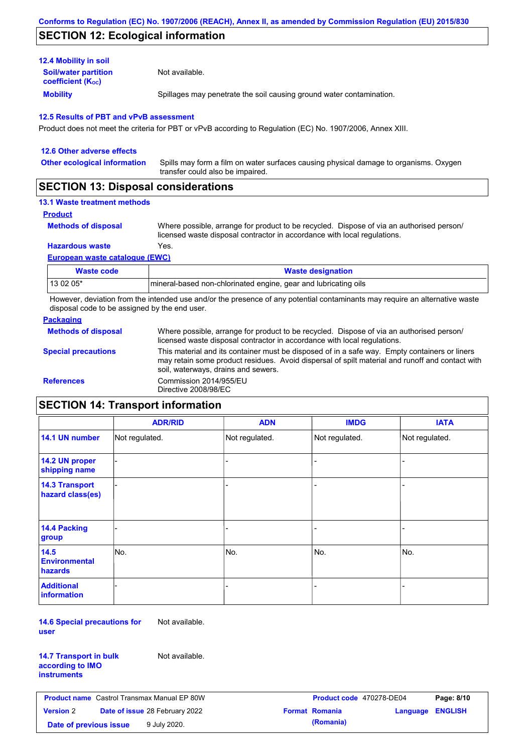## **SECTION 12: Ecological information**

| <b>Mobility</b>                                         | Spillages may penetrate the soil causing ground water contamination. |
|---------------------------------------------------------|----------------------------------------------------------------------|
| <b>Soil/water partition</b><br><b>coefficient (Koc)</b> | Not available.                                                       |
| <b>12.4 Mobility in soil</b>                            |                                                                      |

Product does not meet the criteria for PBT or vPvB according to Regulation (EC) No. 1907/2006, Annex XIII.

| 12.6 Other adverse effects                                                                                                                                                                                                                                                                                                                                                                                             |                                                                                                                           |
|------------------------------------------------------------------------------------------------------------------------------------------------------------------------------------------------------------------------------------------------------------------------------------------------------------------------------------------------------------------------------------------------------------------------|---------------------------------------------------------------------------------------------------------------------------|
| <b>Other ecological information</b>                                                                                                                                                                                                                                                                                                                                                                                    | Spills may form a film on water surfaces causing physical damage to organisms. Oxygen<br>transfer could also be impaired. |
| $\mathsf{A} \mathsf{F} \mathsf{A} \mathsf{F} \mathsf{I} \mathsf{A} \mathsf{I} \mathsf{A} \mathsf{I} \mathsf{B} \mathsf{I} \mathsf{I} \mathsf{I} \mathsf{I} \mathsf{I} \mathsf{I} \mathsf{I} \mathsf{I} \mathsf{I} \mathsf{I} \mathsf{I} \mathsf{I} \mathsf{I} \mathsf{I} \mathsf{I} \mathsf{I} \mathsf{I} \mathsf{I} \mathsf{I} \mathsf{I} \mathsf{I} \mathsf{I} \mathsf{I} \mathsf{I} \mathsf{I} \mathsf{I} \mathsf{$ |                                                                                                                           |

## **SECTION 13: Disposal considerations**

### **13.1 Waste treatment methods**

```
Product
```
**Methods of disposal**

Where possible, arrange for product to be recycled. Dispose of via an authorised person/ licensed waste disposal contractor in accordance with local regulations.

**Hazardous waste** Yes.

**European waste catalogue (EWC)**

| Waste code | <b>Waste designation</b>                                        |
|------------|-----------------------------------------------------------------|
| 13 02 05*  | mineral-based non-chlorinated engine, gear and lubricating oils |

However, deviation from the intended use and/or the presence of any potential contaminants may require an alternative waste disposal code to be assigned by the end user.

#### **Packaging**

| <b>Methods of disposal</b> | Where possible, arrange for product to be recycled. Dispose of via an authorised person/<br>licensed waste disposal contractor in accordance with local regulations.                                                                    |
|----------------------------|-----------------------------------------------------------------------------------------------------------------------------------------------------------------------------------------------------------------------------------------|
| <b>Special precautions</b> | This material and its container must be disposed of in a safe way. Empty containers or liners<br>may retain some product residues. Avoid dispersal of spilt material and runoff and contact with<br>soil, waterways, drains and sewers. |
| <b>References</b>          | Commission 2014/955/EU<br>Directive 2008/98/EC                                                                                                                                                                                          |

## **SECTION 14: Transport information**

|                                           | <b>ADR/RID</b> | <b>ADN</b>     | <b>IMDG</b>    | <b>IATA</b>    |
|-------------------------------------------|----------------|----------------|----------------|----------------|
| 14.1 UN number                            | Not regulated. | Not regulated. | Not regulated. | Not regulated. |
| 14.2 UN proper<br>shipping name           |                |                |                |                |
| <b>14.3 Transport</b><br>hazard class(es) |                |                |                |                |
| <b>14.4 Packing</b><br>group              |                |                |                |                |
| 14.5<br><b>Environmental</b><br>hazards   | No.            | No.            | No.            | No.            |
| <b>Additional</b><br>information          |                |                |                |                |

**14.6 Special precautions for user** Not available.

| <b>14.7 Transport in bulk</b> |  |
|-------------------------------|--|
| according to IMO              |  |
| instruments                   |  |

Not available.

|                        | <b>Product name</b> Castrol Transmax Manual EP 80W | Product code 470278-DE04 |                         | Page: 8/10 |
|------------------------|----------------------------------------------------|--------------------------|-------------------------|------------|
| <b>Version 2</b>       | <b>Date of issue 28 February 2022</b>              | <b>Format Romania</b>    | <b>Language ENGLISH</b> |            |
| Date of previous issue | 9 July 2020.                                       | (Romania)                |                         |            |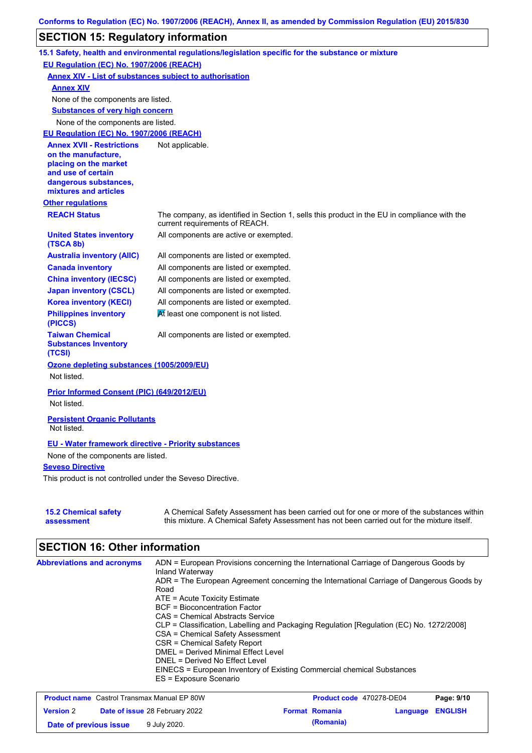## **SECTION 15: Regulatory information**

|                                                                                                                                                          | 15.1 Safety, health and environmental regulations/legislation specific for the substance or mixture                                                                                       |
|----------------------------------------------------------------------------------------------------------------------------------------------------------|-------------------------------------------------------------------------------------------------------------------------------------------------------------------------------------------|
| EU Regulation (EC) No. 1907/2006 (REACH)                                                                                                                 |                                                                                                                                                                                           |
| <b>Annex XIV - List of substances subject to authorisation</b>                                                                                           |                                                                                                                                                                                           |
| <b>Annex XIV</b>                                                                                                                                         |                                                                                                                                                                                           |
| None of the components are listed.                                                                                                                       |                                                                                                                                                                                           |
| <b>Substances of very high concern</b>                                                                                                                   |                                                                                                                                                                                           |
| None of the components are listed.                                                                                                                       |                                                                                                                                                                                           |
| EU Regulation (EC) No. 1907/2006 (REACH)                                                                                                                 |                                                                                                                                                                                           |
| <b>Annex XVII - Restrictions</b><br>on the manufacture,<br>placing on the market<br>and use of certain<br>dangerous substances,<br>mixtures and articles | Not applicable.                                                                                                                                                                           |
| <b>Other regulations</b>                                                                                                                                 |                                                                                                                                                                                           |
| <b>REACH Status</b>                                                                                                                                      | The company, as identified in Section 1, sells this product in the EU in compliance with the<br>current requirements of REACH.                                                            |
| <b>United States inventory</b><br>(TSCA 8b)                                                                                                              | All components are active or exempted.                                                                                                                                                    |
| <b>Australia inventory (AIIC)</b>                                                                                                                        | All components are listed or exempted.                                                                                                                                                    |
| <b>Canada inventory</b>                                                                                                                                  | All components are listed or exempted.                                                                                                                                                    |
| <b>China inventory (IECSC)</b>                                                                                                                           | All components are listed or exempted.                                                                                                                                                    |
| <b>Japan inventory (CSCL)</b>                                                                                                                            | All components are listed or exempted.                                                                                                                                                    |
| <b>Korea inventory (KECI)</b>                                                                                                                            | All components are listed or exempted.                                                                                                                                                    |
| <b>Philippines inventory</b><br>(PICCS)                                                                                                                  | At least one component is not listed.                                                                                                                                                     |
| <b>Taiwan Chemical</b><br><b>Substances Inventory</b><br>(TCSI)                                                                                          | All components are listed or exempted.                                                                                                                                                    |
| Ozone depleting substances (1005/2009/EU)<br>Not listed.                                                                                                 |                                                                                                                                                                                           |
| Prior Informed Consent (PIC) (649/2012/EU)<br>Not listed.                                                                                                |                                                                                                                                                                                           |
| <b>Persistent Organic Pollutants</b><br>Not listed.                                                                                                      |                                                                                                                                                                                           |
| <b>EU - Water framework directive - Priority substances</b>                                                                                              |                                                                                                                                                                                           |
| None of the components are listed.                                                                                                                       |                                                                                                                                                                                           |
| <b>Seveso Directive</b>                                                                                                                                  |                                                                                                                                                                                           |
| This product is not controlled under the Seveso Directive.                                                                                               |                                                                                                                                                                                           |
| <b>15.2 Chemical safety</b><br>assessment                                                                                                                | A Chemical Safety Assessment has been carried out for one or more of the substances within<br>this mixture. A Chemical Safety Assessment has not been carried out for the mixture itself. |

# **SECTION 16: Other information**

| <b>Abbreviations and acronyms</b> | ADN = European Provisions concerning the International Carriage of Dangerous Goods by<br>Inland Waterway |
|-----------------------------------|----------------------------------------------------------------------------------------------------------|
|                                   | ADR = The European Agreement concerning the International Carriage of Dangerous Goods by                 |
|                                   | Road                                                                                                     |
|                                   | $ATE =$ Acute Toxicity Estimate                                                                          |
|                                   | <b>BCF</b> = Bioconcentration Factor                                                                     |
|                                   | CAS = Chemical Abstracts Service                                                                         |
|                                   | CLP = Classification, Labelling and Packaging Regulation [Regulation (EC) No. 1272/2008]                 |
|                                   | CSA = Chemical Safety Assessment                                                                         |
|                                   | CSR = Chemical Safety Report                                                                             |
|                                   | DMEL = Derived Minimal Effect Level                                                                      |
|                                   | DNEL = Derived No Effect Level                                                                           |
|                                   | EINECS = European Inventory of Existing Commercial chemical Substances                                   |
|                                   | ES = Exposure Scenario                                                                                   |

| <b>Product name</b> Castrol Transmax Manual EP 80W |  |                                       | <b>Product code</b> 470278-DE04 |                       | Page: 9/10              |  |
|----------------------------------------------------|--|---------------------------------------|---------------------------------|-----------------------|-------------------------|--|
| <b>Version 2</b>                                   |  | <b>Date of issue 28 February 2022</b> |                                 | <b>Format Romania</b> | <b>Language ENGLISH</b> |  |
| Date of previous issue                             |  | 9 July 2020.                          |                                 | (Romania)             |                         |  |